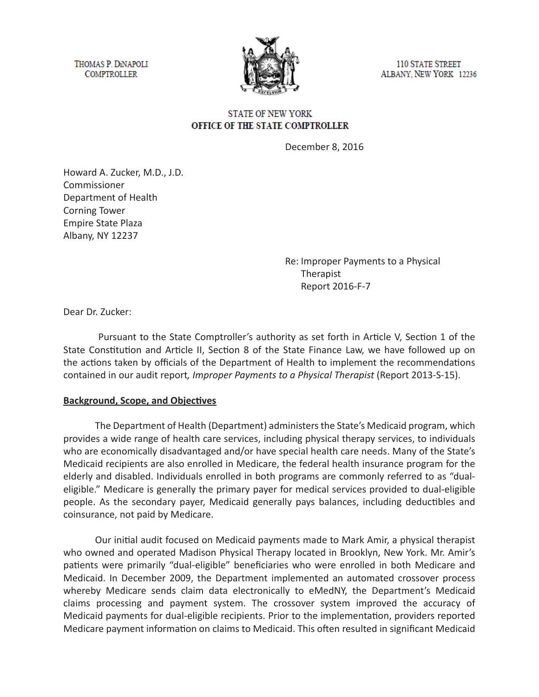THOMAS P. DINAPOLI **COMPTROLLER** 



**110 STATE STREET** ALBANY, NEW YORK 12236

## **STATE OF NEW YORK** OFFICE OF THE STATE COMPTROLLER

December 8, 2016

Howard A. Zucker, M.D., J.D. Commissioner Department of Health Corning Tower Empire State Plaza Albany, NY 12237

> Re: Improper Payments to a Physical Therapist Report 2016-F-7

Dear Dr. Zucker:

 Pursuant to the State Comptroller's authority as set forth in Article V, Section 1 of the State Constitution and Article II, Section 8 of the State Finance Law, we have followed up on the actions taken by officials of the Department of Health to implement the recommendations contained in our audit report*, Improper Payments to a Physical Therapist* (Report 2013-S-15).

## **Background, Scope, and Objectives**

The Department of Health (Department) administers the State's Medicaid program, which provides a wide range of health care services, including physical therapy services, to individuals who are economically disadvantaged and/or have special health care needs. Many of the State's Medicaid recipients are also enrolled in Medicare, the federal health insurance program for the elderly and disabled. Individuals enrolled in both programs are commonly referred to as "dualeligible." Medicare is generally the primary payer for medical services provided to dual-eligible people. As the secondary payer, Medicaid generally pays balances, including deductibles and coinsurance, not paid by Medicare.

Our initial audit focused on Medicaid payments made to Mark Amir, a physical therapist who owned and operated Madison Physical Therapy located in Brooklyn, New York. Mr. Amir's patients were primarily "dual-eligible" beneficiaries who were enrolled in both Medicare and Medicaid. In December 2009, the Department implemented an automated crossover process whereby Medicare sends claim data electronically to eMedNY, the Department's Medicaid claims processing and payment system. The crossover system improved the accuracy of Medicaid payments for dual-eligible recipients. Prior to the implementation, providers reported Medicare payment information on claims to Medicaid. This often resulted in significant Medicaid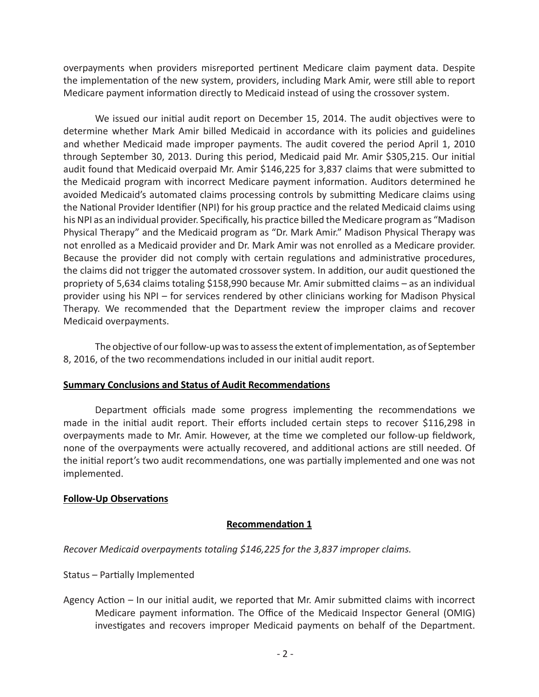overpayments when providers misreported pertinent Medicare claim payment data. Despite the implementation of the new system, providers, including Mark Amir, were still able to report Medicare payment information directly to Medicaid instead of using the crossover system.

We issued our initial audit report on December 15, 2014. The audit objectives were to determine whether Mark Amir billed Medicaid in accordance with its policies and guidelines and whether Medicaid made improper payments. The audit covered the period April 1, 2010 through September 30, 2013. During this period, Medicaid paid Mr. Amir \$305,215. Our initial audit found that Medicaid overpaid Mr. Amir \$146,225 for 3,837 claims that were submitted to the Medicaid program with incorrect Medicare payment information. Auditors determined he avoided Medicaid's automated claims processing controls by submitting Medicare claims using the National Provider Identifier (NPI) for his group practice and the related Medicaid claims using his NPI as an individual provider. Specifically, his practice billed the Medicare program as "Madison Physical Therapy" and the Medicaid program as "Dr. Mark Amir." Madison Physical Therapy was not enrolled as a Medicaid provider and Dr. Mark Amir was not enrolled as a Medicare provider. Because the provider did not comply with certain regulations and administrative procedures, the claims did not trigger the automated crossover system. In addition, our audit questioned the propriety of 5,634 claims totaling \$158,990 because Mr. Amir submitted claims – as an individual provider using his NPI – for services rendered by other clinicians working for Madison Physical Therapy. We recommended that the Department review the improper claims and recover Medicaid overpayments.

The objective of our follow-up was to assess the extent of implementation, as of September 8, 2016, of the two recommendations included in our initial audit report.

## **Summary Conclusions and Status of Audit Recommendations**

Department officials made some progress implementing the recommendations we made in the initial audit report. Their efforts included certain steps to recover \$116,298 in overpayments made to Mr. Amir. However, at the time we completed our follow-up fieldwork, none of the overpayments were actually recovered, and additional actions are still needed. Of the initial report's two audit recommendations, one was partially implemented and one was not implemented.

# **Follow-Up Observations**

## **Recommendation 1**

*Recover Medicaid overpayments totaling \$146,225 for the 3,837 improper claims.*

Status – Partially Implemented

Agency Action – In our initial audit, we reported that Mr. Amir submitted claims with incorrect Medicare payment information. The Office of the Medicaid Inspector General (OMIG) investigates and recovers improper Medicaid payments on behalf of the Department.